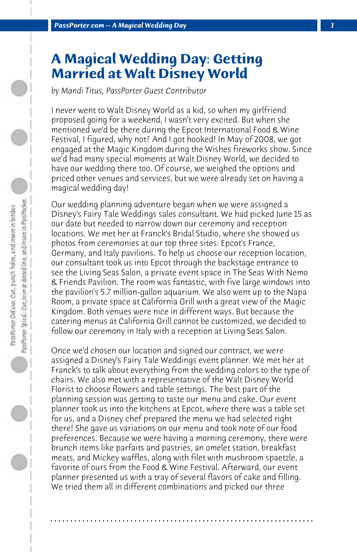## **A Magical Wedding Day: Getting Married at Walt Disney World**

*by Mandi Titus, PassPorter Guest Contributor*

I never went to Walt Disney World as a kid, so when my girlfriend proposed going for a weekend, I wasn't very excited. But when she mentioned we'd be there during the Epcot International Food & Wine Festival, I figured, why not? And I got hooked! In May of 2008, we got engaged at the Magic Kingdom during the Wishes fireworks show. Since we'd had many special moments at Walt Disney World, we decided to have our wedding there too. Of course, we weighed the options and priced other venues and services, but we were already set on having a magical wedding day!

Our wedding planning adventure began when we were assigned a Disney's Fairy Tale Weddings sales consultant. We had picked June 15 as our date but needed to narrow down our ceremony and reception locations. We met her at Franck's Bridal Studio, where she showed us photos from ceremonies at our top three sites: Epcot's France, Germany, and Italy pavilions. To help us choose our reception location, our consultant took us into Epcot through the backstage entrance to see the Living Seas Salon, a private event space in The Seas With Nemo & Friends Pavilion. The room was fantastic, with five large windows into the pavilion's 5.7 million-gallon aquarium. We also went up to the Napa Room, a private space at California Grill with a great view of the Magic Kingdom. Both venues were nice in different ways. But because the catering menus at California Grill cannot be customized, we decided to follow our ceremony in Italy with a reception at Living Seas Salon.

Once we'd chosen our location and signed our contract, we were assigned a Disney's Fairy Tale Weddings event planner. We met her at Franck's to talk about everything from the wedding colors to the type of chairs. We also met with a representative of the Walt Disney World Florist to choose flowers and table settings. The best part of the planning session was getting to taste our menu and cake. Our event planner took us into the kitchens at Epcot, where there was a table set for us, and a Disney chef prepared the menu we had selected right there! She gave us variations on our menu and took note of our food preferences. Because we were having a morning ceremony, there were brunch items like parfaits and pastries, an omelet station, breakfast meats, and Mickey waffles, along with filet with mushroom spaetzle, a favorite of ours from the Food & Wine Festival. Afterward, our event planner presented us with a tray of several flavors of cake and filling. We tried them all in different combinations and picked our three

**. . . . . . . . . . . . . . . . . . . . . . . . . . . . . . . . . . . . . . . . . . . . . . . . . . . . . . . . . . . . . . . . . .**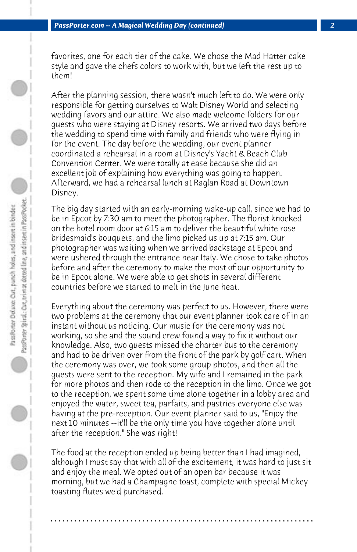favorites, one for each tier of the cake. We chose the Mad Hatter cake style and gave the chefs colors to work with, but we left the rest up to them!

After the planning session, there wasn't much left to do. We were only responsible for getting ourselves to Walt Disney World and selecting wedding favors and our attire. We also made welcome folders for our guests who were staying at Disney resorts. We arrived two days before the wedding to spend time with family and friends who were flying in for the event. The day before the wedding, our event planner coordinated a rehearsal in a room at Disney's Yacht & Beach Club Convention Center. We were totally at ease because she did an excellent job of explaining how everything was going to happen. Afterward, we had a rehearsal lunch at Raglan Road at Downtown Disney.

The big day started with an early-morning wake-up call, since we had to be in Epcot by 7:30 am to meet the photographer. The florist knocked on the hotel room door at 6:15 am to deliver the beautiful white rose bridesmaid's bouquets, and the limo picked us up at 7:15 am. Our photographer was waiting when we arrived backstage at Epcot and were ushered through the entrance near Italy. We chose to take photos before and after the ceremony to make the most of our opportunity to be in Epcot alone. We were able to get shots in several different countries before we started to melt in the June heat.

Everything about the ceremony was perfect to us. However, there were two problems at the ceremony that our event planner took care of in an instant without us noticing. Our music for the ceremony was not working, so she and the sound crew found a way to fix it without our knowledge. Also, two guests missed the charter bus to the ceremony and had to be driven over from the front of the park by golf cart. When the ceremony was over, we took some group photos, and then all the guests were sent to the reception. My wife and I remained in the park for more photos and then rode to the reception in the limo. Once we got to the reception, we spent some time alone together in a lobby area and enjoyed the water, sweet tea, parfaits, and pastries everyone else was having at the pre-reception. Our event planner said to us, "Enjoy the next 10 minutes --it'll be the only time you have together alone until after the reception." She was right!

The food at the reception ended up being better than I had imagined, although I must say that with all of the excitement, it was hard to just sit and enjoy the meal. We opted out of an open bar because it was morning, but we had a Champagne toast, complete with special Mickey toasting flutes we'd purchased.

**. . . . . . . . . . . . . . . . . . . . . . . . . . . . . . . . . . . . . . . . . . . . . . . . . . . . . . . . . . . . . . . . . .**